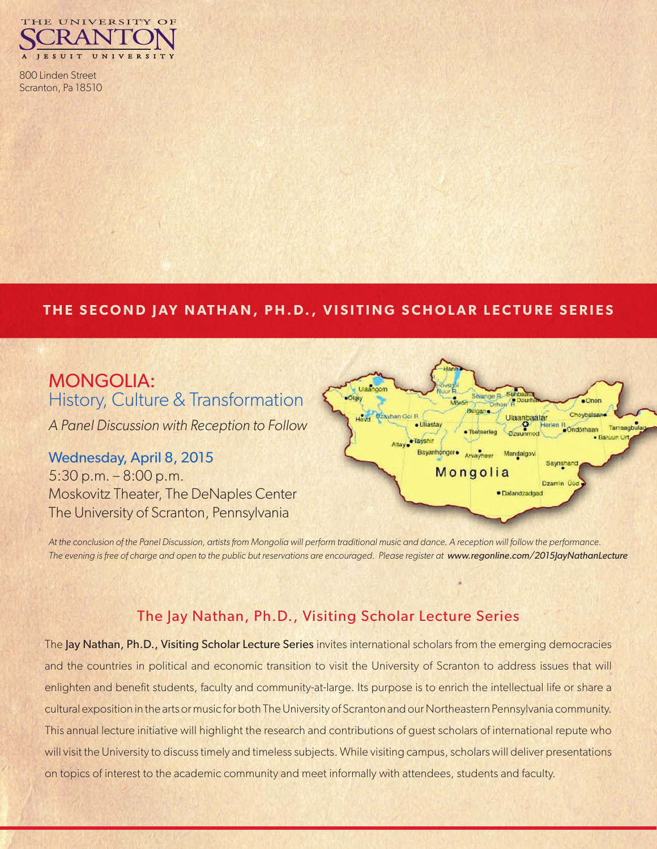

800 Linden Street Scranton, Pa 18510

#### **THE SECOND JAY NATHAN, PH.D., VISITING SCHOLAR LECTURE SERIES**

# MONGOLIA: History, Culture & Transformation

*A Panel Discussion with Reception to Follow*

## Wednesday, April 8, 2015

5:30 p.m. – 8:00 p.m. Moskovitz Theater, The DeNaples Center The University of Scranton, Pennsylvania



*At the conclusion of the Panel Discussion, artists from Mongolia will perform traditional music and dance. A reception will follow the performance. The evening is free of charge and open to the public but reservations are encouraged. Please register at www.regonline.com/2015JayNathanLecture*

#### The Jay Nathan, Ph.D., Visiting Scholar Lecture Series

The Jay Nathan, Ph.D., Visiting Scholar Lecture Series invites international scholars from the emerging democracies and the countries in political and economic transition to visit the University of Scranton to address issues that will enlighten and benefit students, faculty and community-at-large. Its purpose is to enrich the intellectual life or share a cultural exposition in the arts or music for both The University of Scranton and our Northeastern Pennsylvania community. This annual lecture initiative will highlight the research and contributions of guest scholars of international repute who will visit the University to discuss timely and timeless subjects. While visiting campus, scholars will deliver presentations on topics of interest to the academic community and meet informally with attendees, students and faculty.